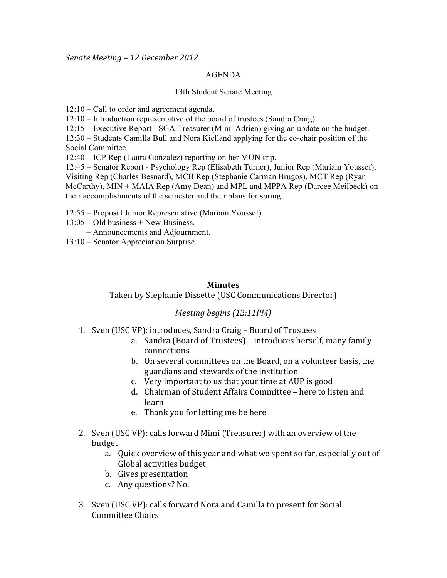*Senate&Meeting&– 12 December 2012*

## AGENDA

## 13th Student Senate Meeting

12:10 – Call to order and agreement agenda.

12:10 – Introduction representative of the board of trustees (Sandra Craig).

12:15 – Executive Report - SGA Treasurer (Mimi Adrien) giving an update on the budget.

12:30 – Students Camilla Bull and Nora Kielland applying for the co-chair position of the

Social Committee.

12:40 – ICP Rep (Laura Gonzalez) reporting on her MUN trip.

12:45 – Senator Report - Psychology Rep (Elisabeth Turner), Junior Rep (Mariam Youssef), Visiting Rep (Charles Besnard), MCB Rep (Stephanie Carman Brugos), MCT Rep (Ryan McCarthy), MIN + MAIA Rep (Amy Dean) and MPL and MPPA Rep (Darcee Meilbeck) on their accomplishments of the semester and their plans for spring.

12:55 – Proposal Junior Representative (Mariam Youssef).

13:05 – Old business + New Business.

– Announcements and Adjournment.

13:10 – Senator Appreciation Surprise.

## **Minutes**

Taken by Stephanie Dissette (USC Communications Director)

## *Meeting begins (12:11PM)*

- 1. Sven (USC VP): introduces, Sandra Craig Board of Trustees
	- a. Sandra (Board of Trustees) introduces herself, many family connections
	- b. On several committees on the Board, on a volunteer basis, the guardians and stewards of the institution
	- c. Very important to us that your time at AUP is good
	- d. Chairman of Student Affairs Committee here to listen and learn!
	- e. Thank you for letting me be here
- 2. Sven (USC VP): calls forward Mimi (Treasurer) with an overview of the budget
	- a. Quick overview of this year and what we spent so far, especially out of Global activities budget
	- b. Gives presentation
	- c. Any questions? No.
- 3. Sven (USC VP): calls forward Nora and Camilla to present for Social Committee Chairs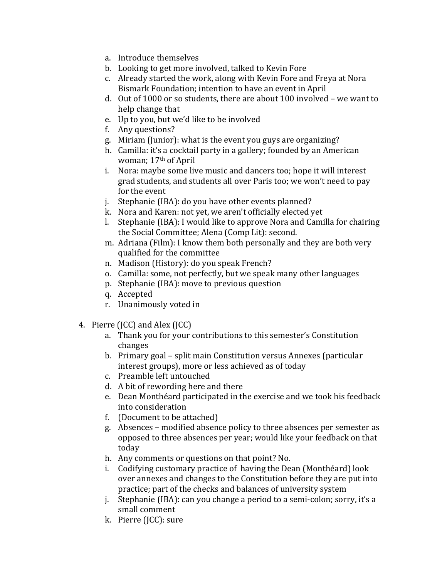- a. Introduce themselves
- b. Looking to get more involved, talked to Kevin Fore
- c. Already started the work, along with Kevin Fore and Freya at Nora Bismark Foundation; intention to have an event in April
- d. Out of 1000 or so students, there are about 100 involved we want to help change that
- e. Up to you, but we'd like to be involved
- f. Any questions?
- g. Miriam (Junior): what is the event you guys are organizing?
- h. Camilla: it's a cocktail party in a gallery; founded by an American woman; 17<sup>th</sup> of April
- i. Nora: maybe some live music and dancers too; hope it will interest grad students, and students all over Paris too; we won't need to pay for the event
- $i.$  Stephanie (IBA): do you have other events planned?
- k. Nora and Karen: not yet, we aren't officially elected yet
- l. Stephanie (IBA): I would like to approve Nora and Camilla for chairing the Social Committee; Alena (Comp Lit): second.
- m. Adriana (Film): I know them both personally and they are both very qualified for the committee
- n. Madison (History): do you speak French?
- o. Camilla: some, not perfectly, but we speak many other languages
- p. Stephanie (IBA): move to previous question
- q. Accepted
- r. Unanimously voted in
- 4. Pierre (JCC) and Alex (JCC)
	- a. Thank you for your contributions to this semester's Constitution changes
	- b. Primary goal split main Constitution versus Annexes (particular interest groups), more or less achieved as of today
	- c. Preamble left untouched
	- d. A bit of rewording here and there
	- e. Dean Monthéard participated in the exercise and we took his feedback into consideration
	- f. (Document to be attached)
	- g. Absences modified absence policy to three absences per semester as opposed to three absences per year; would like your feedback on that today
	- h. Any comments or questions on that point? No.
	- i. Codifying customary practice of having the Dean (Monthéard) look over annexes and changes to the Constitution before they are put into practice; part of the checks and balances of university system
	- j. Stephanie (IBA): can you change a period to a semi-colon; sorry, it's a small comment
	- k. Pierre (JCC): sure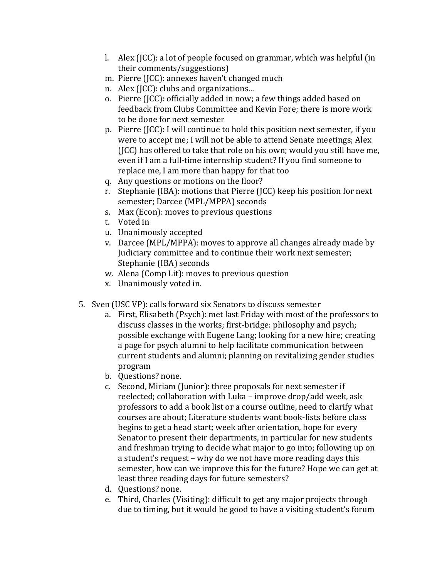- l. Alex (JCC): a lot of people focused on grammar, which was helpful (in) their comments/suggestions)
- m. Pierre (JCC): annexes haven't changed much
- n. Alex  $(ICC)$ : clubs and organizations...
- o. Pierre (JCC): officially added in now; a few things added based on feedback from Clubs Committee and Kevin Fore; there is more work to be done for next semester
- p. Pierre (JCC): I will continue to hold this position next semester, if you were to accept me; I will not be able to attend Senate meetings; Alex (ICC) has offered to take that role on his own; would you still have me, even if I am a full-time internship student? If you find someone to replace me, I am more than happy for that too
- q. Any questions or motions on the floor?
- r. Stephanie (IBA): motions that Pierre (JCC) keep his position for next semester; Darcee (MPL/MPPA) seconds
- s. Max (Econ): moves to previous questions
- t. Voted in
- u. Unanimously accepted
- v. Darcee (MPL/MPPA): moves to approve all changes already made by Judiciary committee and to continue their work next semester; Stephanie (IBA) seconds
- w. Alena (Comp Lit): moves to previous question
- x. Unanimously voted in.
- 5. Sven (USC VP): calls forward six Senators to discuss semester
	- a. First, Elisabeth (Psych): met last Friday with most of the professors to discuss classes in the works; first-bridge: philosophy and psych; possible exchange with Eugene Lang; looking for a new hire; creating a page for psych alumni to help facilitate communication between current students and alumni; planning on revitalizing gender studies program
	- b. Questions? none.
	- c. Second, Miriam (Junior): three proposals for next semester if reelected; collaboration with Luka – improve drop/add week, ask professors to add a book list or a course outline, need to clarify what courses are about; Literature students want book-lists before class begins to get a head start; week after orientation, hope for every Senator to present their departments, in particular for new students and freshman trying to decide what major to go into; following up on a student's request – why do we not have more reading days this semester, how can we improve this for the future? Hope we can get at least three reading days for future semesters?
	- d. Questions? none.
	- e. Third, Charles (Visiting): difficult to get any major projects through due to timing, but it would be good to have a visiting student's forum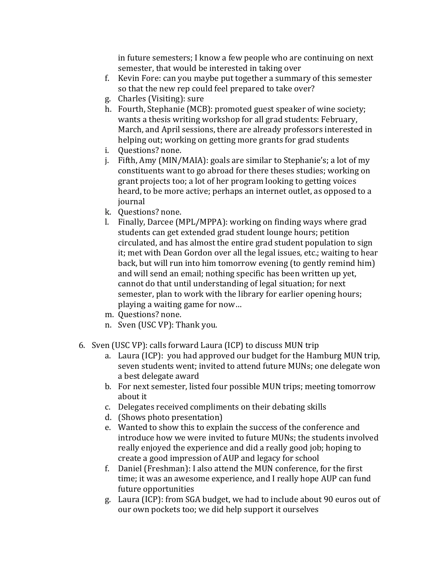in future semesters; I know a few people who are continuing on next semester, that would be interested in taking over

- f. Kevin Fore: can you maybe put together a summary of this semester so that the new rep could feel prepared to take over?
- g. Charles (Visiting): sure
- h. Fourth, Stephanie (MCB): promoted guest speaker of wine society; wants a thesis writing workshop for all grad students: February, March, and April sessions, there are already professors interested in helping out; working on getting more grants for grad students
- i. Questions? none.
- j. Fifth, Amy (MIN/MAIA): goals are similar to Stephanie's; a lot of my constituents want to go abroad for there theses studies; working on grant projects too; a lot of her program looking to getting voices heard, to be more active; perhaps an internet outlet, as opposed to a journal
- k. Questions? none.
- l. Finally, Darcee (MPL/MPPA): working on finding ways where grad students can get extended grad student lounge hours; petition circulated, and has almost the entire grad student population to sign it; met with Dean Gordon over all the legal issues, etc.; waiting to hear back, but will run into him tomorrow evening (to gently remind him) and will send an email; nothing specific has been written up yet, cannot do that until understanding of legal situation; for next semester, plan to work with the library for earlier opening hours; playing a waiting game for now...
- m. Questions? none.
- n. Sven (USC VP): Thank you.
- 6. Sven (USC VP): calls forward Laura (ICP) to discuss MUN trip
	- a. Laura (ICP): you had approved our budget for the Hamburg MUN trip, seven students went; invited to attend future MUNs; one delegate won a best delegate award
	- b. For next semester, listed four possible MUN trips; meeting tomorrow about it
	- c. Delegates received compliments on their debating skills
	- d. (Shows photo presentation)
	- e. Wanted to show this to explain the success of the conference and introduce how we were invited to future MUNs; the students involved really enjoyed the experience and did a really good job; hoping to create a good impression of AUP and legacy for school
	- f. Daniel (Freshman): I also attend the MUN conference, for the first time; it was an awesome experience, and I really hope AUP can fund future opportunities
	- g. Laura (ICP): from SGA budget, we had to include about 90 euros out of our own pockets too; we did help support it ourselves